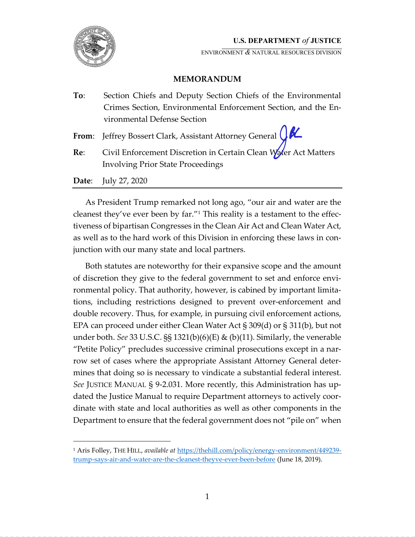

ENVIRONMENT **&** NATURAL RESOURCES DIVISION

# **MEMORANDUM**

| To: | Section Chiefs and Deputy Section Chiefs of the Environmental                                               |
|-----|-------------------------------------------------------------------------------------------------------------|
|     | Crimes Section, Environmental Enforcement Section, and the En-                                              |
|     | vironmental Defense Section                                                                                 |
|     | From: Jeffrey Bossert Clark, Assistant Attorney General $\bigcirc$ $\mathcal{K}$                            |
| Re: | Civil Enforcement Discretion in Certain Clean Water Act Matters<br><b>Involving Prior State Proceedings</b> |
|     | <b>Date:</b> July 27, 2020                                                                                  |

As President Trump remarked not long ago, "our air and water are the cleanest they've ever been by far.<sup> $n_1$ </sup> This reality is a testament to the effectiveness of bipartisan Congresses in the Clean Air Act and Clean Water Act, as well as to the hard work of this Division in enforcing these laws in conjunction with our many state and local partners.

Both statutes are noteworthy for their expansive scope and the amount of discretion they give to the federal government to set and enforce environmental policy. That authority, however, is cabined by important limitations, including restrictions designed to prevent over-enforcement and double recovery. Thus, for example, in pursuing civil enforcement actions, EPA can proceed under either Clean Water Act  $\S 309(d)$  or  $\S 311(b)$ , but not under both. *See* 33 U.S.C. §§ 1321(b)(6)(E) & (b)(11). Similarly, the venerable "Petite Policy" precludes successive criminal prosecutions except in a narrow set of cases where the appropriate Assistant Attorney General determines that doing so is necessary to vindicate a substantial federal interest. *See* JUSTICE MANUAL § 9-2.031. More recently, this Administration has up dated the Justice Manual to require Department attorneys to actively coordinate with state and local authorities as well as other components in the Department to ensure that the federal government does not "pile on" when

<sup>&</sup>lt;sup>1</sup> Aris Folley, THE HILL, *available at* https://thehill.com/policy/energy-environment/449239trump-says-air-and-water-are-the-cleanest-theyve-ever-been-before (June 18, 2019).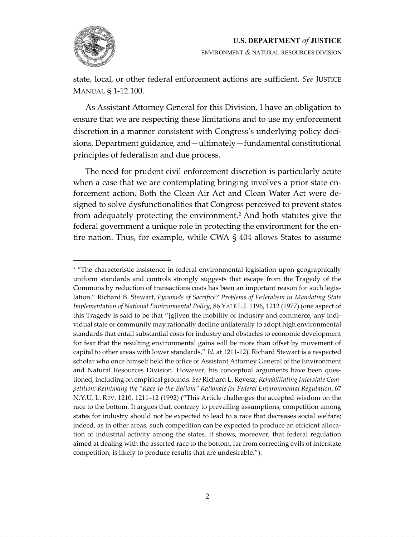

ENVIRONMENT & NATURAL RESOURCES DIVISION

state, local, or other federal enforcement actions are sufficient. See JUSTICE MANUAL § 1-12.100.

As Assistant Attorney General for this Division, I have an obligation to ensure that we are respecting these limitations and to use my enforcement discretion in a manner consistent with Congress's underlying policy decisions, Department guidance, and — ultimately — fundamental constitutional principles of federalism and due process.

The need for prudent civil enforcement discretion is particularly acute when a case that we are contemplating bringing involves a prior state enforcement action. Both the Clean Air Act and Clean Water Act were designed to solve dysfunctionalities that Congress perceived to prevent states from adequately protecting the environment.<sup>2</sup> And both statutes give the federal government a unique role in protecting the environment for the entire nation. Thus, for example, while CWA  $\S$  404 allows States to assume

<sup>&</sup>lt;sup>2</sup> "The characteristic insistence in federal environmental legislation upon geographically uniform standards and controls strongly suggests that escape from the Tragedy of the Commons by reduction of transactions costs has been an important reason for such legislation." Richard B. Stewart, Pyramids of Sacrifice? Problems of Federalism in Mandating State *Implementation of National Environmental Policy,* 86 YALE L.J. 1196, 1212 (1977) (one aspect of this Tragedy is said to be that "[g]iven the mobility of industry and commerce, any individual state or community may rationally decline unilaterally to adopt high environmental standards that entail substantial costs for industry and obstacles to economic development for fear that the resulting environmental gains will be more than offset by movement of capital to other areas with lower standards.<sup>*''*</sup> Id. at 1211-12</sub>). Richard Stewart is a respected scholar who once himself held the office of Assistant Attorney General of the Environment and Natural Resources Division. However, his conceptual arguments have been questioned, including on empirical grounds. See Richard L. Revesz, Rehabilitating Interstate Competition: Rethinking the "Race-to-the-Bottom" Rationale for Federal Environmental Regulation, 67 N.Y.U. L. REV. 1210, 1211–12 (1992) ("This Article challenges the accepted wisdom on the race to the bottom. It argues that, contrary to prevailing assumptions, competition among states for industry should not be expected to lead to a race that decreases social welfare; indeed, as in other areas, such competition can be expected to produce an efficient allocation of industrial activity among the states. It shows, moreover, that federal regulation aimed at dealing with the asserted race to the bottom, far from correcting evils of interstate competition, is likely to produce results that are undesirable.").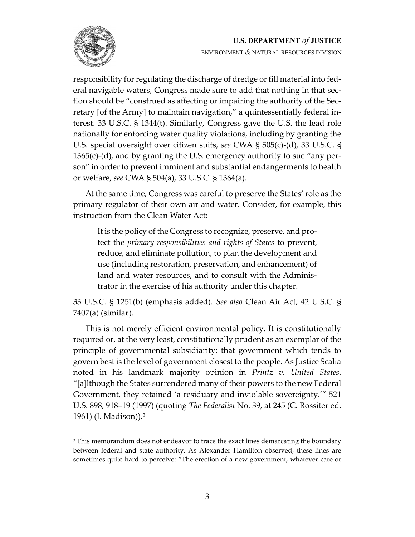

ENVIRONMENT **&** NATURAL RESOURCES DIVISION

responsibility for regulating the discharge of dredge or fill material into federal navigable waters, Congress made sure to add that nothing in that section should be "construed as affecting or impairing the authority of the Secretary [of the Army] to maintain navigation," a quintessentially federal interest. 33 U.S.C. § 1344(t). Similarly, Congress gave the U.S. the lead role nationally for enforcing water quality violations, including by granting the U.S. special oversight over citizen suits, see CWA § 505(c)-(d), 33 U.S.C. § 1365(c)-(d), and by granting the U.S. emergency authority to sue "any person" in order to prevent imminent and substantial endangerments to health or welfare, *see* CWA § 504(a), 33 U.S.C. § 1364(a).

At the same time, Congress was careful to preserve the States' role as the primary regulator of their own air and water. Consider, for example, this instruction from the Clean Water Act:

It is the policy of the Congress to recognize, preserve, and protect the *primary responsibilities and rights of States* to prevent, reduce, and eliminate pollution, to plan the development and use (including restoration, preservation, and enhancement) of land and water resources, and to consult with the Administrator in the exercise of his authority under this chapter.

33 U.S.C. § 1251(b) (emphasis added). See also Clean Air Act, 42 U.S.C. § 7407(a) (similar).

This is not merely efficient environmental policy. It is constitutionally required or, at the very least, constitutionally prudent as an exemplar of the principle of governmental subsidiarity: that government which tends to govern best is the level of government closest to the people. As Justice Scalia noted in his landmark majority opinion in *Printz v. United States*, "[a]lthough the States surrendered many of their powers to the new Federal Government, they retained 'a residuary and inviolable sovereignty.<sup>11</sup> 521 U.S. 898, 918-19 (1997) (quoting *The Federalist* No. 39, at 245 (C. Rossiter ed. 1961) (J. Madison)).<sup>3</sup>

<sup>&</sup>lt;sup>3</sup> This memorandum does not endeavor to trace the exact lines demarcating the boundary between federal and state authority. As Alexander Hamilton observed, these lines are sometimes quite hard to perceive: "The erection of a new government, whatever care or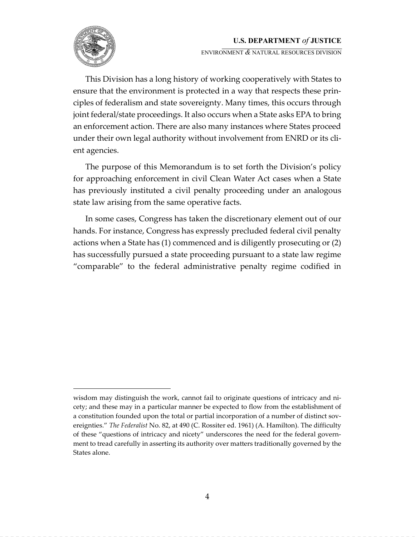

ENVIRONMENT **&** NATURAL RESOURCES DIVISION

This Division has a long history of working cooperatively with States to ensure that the environment is protected in a way that respects these principles of federalism and state sovereignty. Many times, this occurs through joint federal/state proceedings. It also occurs when a State asks EPA to bring an enforcement action. There are also many instances where States proceed under their own legal authority without involvement from ENRD or its client agencies.

The purpose of this Memorandum is to set forth the Division's policy for approaching enforcement in civil Clean Water Act cases when a State has previously instituted a civil penalty proceeding under an analogous state law arising from the same operative facts.

In some cases, Congress has taken the discretionary element out of our hands. For instance, Congress has expressly precluded federal civil penalty actions when a State has (1) commenced and is diligently prosecuting or (2) has successfully pursued a state proceeding pursuant to a state law regime "comparable" to the federal administrative penalty regime codified in

wisdom may distinguish the work, cannot fail to originate questions of intricacy and nicety; and these may in a particular manner be expected to flow from the establishment of a constitution founded upon the total or partial incorporation of a number of distinct sovereignties.<sup>"</sup> The Federalist No. 82, at 490 (C. Rossiter ed. 1961) (A. Hamilton). The difficulty of these "questions of intricacy and nicety" underscores the need for the federal government to tread carefully in asserting its authority over matters traditionally governed by the States alone.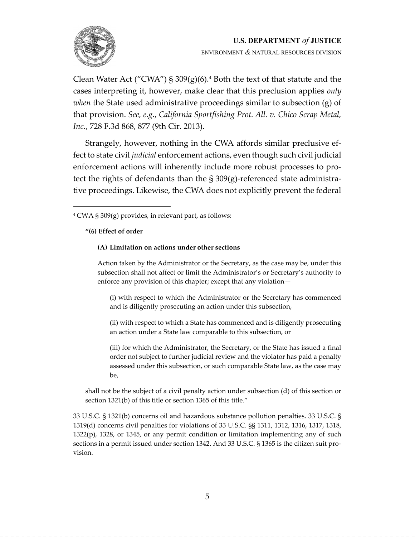

ENVIRONMENT **&** NATURAL RESOURCES DIVISION

Clean Water Act ("CWA") § 309(g)(6).<sup>4</sup> Both the text of that statute and the cases interpreting it, however, make clear that this preclusion applies *only when* the State used administrative proceedings similar to subsection (g) of that provision. *See, e.g., California Sportfishing Prot. All. v. Chico Scrap Metal, Inc.*, 728 F.3d 868, 877 (9th Cir. 2013).

Strangely, however, nothing in the CWA affords similar preclusive effect to state civil *judicial* enforcement actions, even though such civil judicial enforcement actions will inherently include more robust processes to protect the rights of defendants than the  $\S 309(g)$ -referenced state administrative proceedings. Likewise, the CWA does not explicitly prevent the federal

### "(6) Effect of order

### (A) Limitation on actions under other sections

Action taken by the Administrator or the Secretary, as the case may be, under this subsection shall not affect or limit the Administrator's or Secretary's authority to enforce any provision of this chapter; except that any violation-

(i) with respect to which the Administrator or the Secretary has commenced and is diligently prosecuting an action under this subsection,

(ii) with respect to which a State has commenced and is diligently prosecuting an action under a State law comparable to this subsection, or

(iii) for which the Administrator, the Secretary, or the State has issued a final order not subject to further judicial review and the violator has paid a penalty assessed under this subsection, or such comparable State law, as the case may be,

shall not be the subject of a civil penalty action under subsection (d) of this section or section 1321(b) of this title or section 1365 of this title."

33 U.S.C. § 1321(b) concerns oil and hazardous substance pollution penalties. 33 U.S.C. § 1319(d) concerns civil penalties for violations of 33 U.S.C. §§ 1311, 1312, 1316, 1317, 1318, 1322(p), 1328, or 1345, or any permit condition or limitation implementing any of such sections in a permit issued under section 1342. And 33 U.S.C. § 1365 is the citizen suit provision.

 $4$  CWA § 309(g) provides, in relevant part, as follows: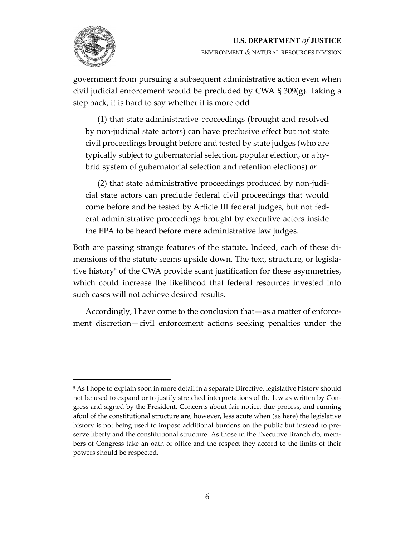

ENVIRONMENT **&** NATURAL RESOURCES DIVISION

government from pursuing a subsequent administrative action even when civil judicial enforcement would be precluded by CWA § 309(g). Taking a step back, it is hard to say whether it is more odd

(1) that state administrative proceedings (brought and resolved by non-judicial state actors) can have preclusive effect but not state civil proceedings brought before and tested by state judges (who are typically subject to gubernatorial selection, popular election, or a hybrid system of gubernatorial selection and retention elections) or

(2) that state administrative proceedings produced by non-judicial state actors can preclude federal civil proceedings that would come before and be tested by Article III federal judges, but not federal administrative proceedings brought by executive actors inside the EPA to be heard before mere administrative law judges.

Both are passing strange features of the statute. Indeed, each of these dimensions of the statute seems upside down. The text, structure, or legislative history<sup>5</sup> of the CWA provide scant justification for these asymmetries, which could increase the likelihood that federal resources invested into such cases will not achieve desired results.

Accordingly, I have come to the conclusion that — as a matter of enforcement discretion—civil enforcement actions seeking penalties under the

<sup>&</sup>lt;sup>5</sup> As I hope to explain soon in more detail in a separate Directive, legislative history should not be used to expand or to justify stretched interpretations of the law as written by Congress and signed by the President. Concerns about fair notice, due process, and running afoul of the constitutional structure are, however, less acute when (as here) the legislative history is not being used to impose additional burdens on the public but instead to preserve liberty and the constitutional structure. As those in the Executive Branch do, members of Congress take an oath of office and the respect they accord to the limits of their powers should be respected.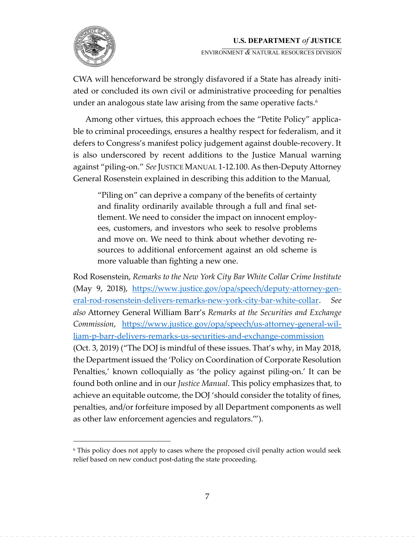ENVIRONMENT **&** NATURAL RESOURCES DIVISION

CWA will henceforward be strongly disfavored if a State has already initiated or concluded its own civil or administrative proceeding for penalties under an analogous state law arising from the same operative facts.<sup>6</sup>

Among other virtues, this approach echoes the "Petite Policy" applicable to criminal proceedings, ensures a healthy respect for federalism, and it defers to Congress's manifest policy judgement against double-recovery. It is also underscored by recent additions to the Justice Manual warning against "piling-on." See JUSTICE MANUAL 1-12.100. As then-Deputy Attorney General Rosenstein explained in describing this addition to the Manual,

"Piling on" can deprive a company of the benefits of certainty and finality ordinarily available through a full and final settlement. We need to consider the impact on innocent employees, customers, and investors who seek to resolve problems and move on. We need to think about whether devoting resources to additional enforcement against an old scheme is more valuable than fighting a new one.

Rod Rosenstein, *Remarks to the New York City Bar White Collar Crime Institute* (May 9, 2018), https://www.justice.gov/opa/speech/deputy-attorney-general-rod-rosenstein-delivers-remarks-new-york-city-bar-white-collar. See also Attorney General William Barr's Remarks at the Securities and Exchange *Commission*, https://www.justice.gov/opa/speech/us-attorney-general-william-p-barr-delivers-remarks-us-securities-and-exchange-commission (Oct. 3, 2019) ("The DOJ is mindful of these issues. That's why, in May 2018, the Department issued the 'Policy on Coordination of Corporate Resolution Penalties, known colloquially as 'the policy against piling-on. It can be found both online and in our *Justice Manual*. This policy emphasizes that, to achieve an equitable outcome, the DOJ 'should consider the totality of fines, penalties, and/or forfeiture imposed by all Department components as well as other law enforcement agencies and regulators.<sup>*'''*</sup>).

<sup>6</sup> This policy does not apply to cases where the proposed civil penalty action would seek relief based on new conduct post-dating the state proceeding.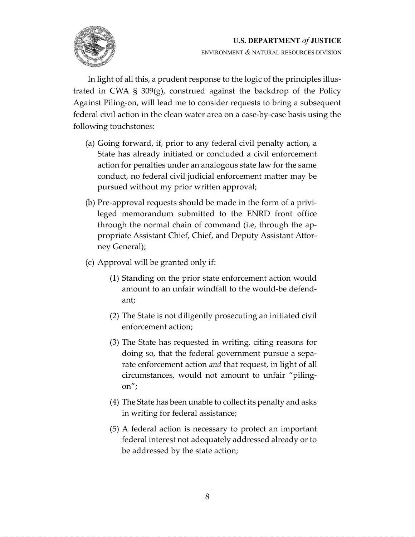

ENVIRONMENT **&** NATURAL RESOURCES DIVISION

In light of all this, a prudent response to the logic of the principles illustrated in CWA § 309(g), construed against the backdrop of the Policy Against Piling-on, will lead me to consider requests to bring a subsequent federal civil action in the clean water area on a case-by-case basis using the following touchstones:

- (a) Going forward, if, prior to any federal civil penalty action, a State has already initiated or concluded a civil enforcement action for penalties under an analogous state law for the same conduct, no federal civil judicial enforcement matter may be pursued without my prior written approval;
- (b) Pre-approval requests should be made in the form of a privileged memorandum submitted to the ENRD front office through the normal chain of command (i.e, through the appropriate Assistant Chief, Chief, and Deputy Assistant Attorney General);
- (c) Approval will be granted only if:
	- (1) Standing on the prior state enforcement action would amount to an unfair windfall to the would-be defendant;
	- (2) The State is not diligently prosecuting an initiated civil enforcement action;
	- (3) The State has requested in writing, citing reasons for doing so, that the federal government pursue a separate enforcement action *and* that request, in light of all circumstances, would not amount to unfair "pilingon";
	- (4) The State has been unable to collect its penalty and asks in writing for federal assistance;
	- $(5)$  A federal action is necessary to protect an important federal interest not adequately addressed already or to be addressed by the state action;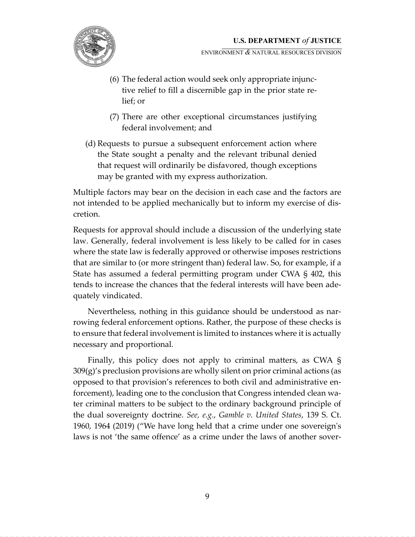

ENVIRONMENT **&** NATURAL RESOURCES DIVISION

- (6) The federal action would seek only appropriate injunctive relief to fill a discernible gap in the prior state relief; or
- (7) There are other exceptional circumstances justifying federal involvement; and
- (d) Requests to pursue a subsequent enforcement action where the State sought a penalty and the relevant tribunal denied that request will ordinarily be disfavored, though exceptions may be granted with my express authorization.

Multiple factors may bear on the decision in each case and the factors are not intended to be applied mechanically but to inform my exercise of discretion.

Requests for approval should include a discussion of the underlying state law. Generally, federal involvement is less likely to be called for in cases where the state law is federally approved or otherwise imposes restrictions that are similar to (or more stringent than) federal law. So, for example, if a State has assumed a federal permitting program under CWA  $\S$  402, this tends to increase the chances that the federal interests will have been adequately vindicated.

Nevertheless, nothing in this guidance should be understood as narrowing federal enforcement options. Rather, the purpose of these checks is to ensure that federal involvement is limited to instances where it is actually necessary and proportional.

Finally, this policy does not apply to criminal matters, as CWA §  $309(g)$ 's preclusion provisions are wholly silent on prior criminal actions (as opposed to that provision's references to both civil and administrative enforcement), leading one to the conclusion that Congress intended clean water criminal matters to be subject to the ordinary background principle of the dual sovereignty doctrine. See, e.g., Gamble v. United States, 139 S. Ct. 1960, 1964 (2019) ("We have long held that a crime under one sovereign's laws is not 'the same offence' as a crime under the laws of another sover-